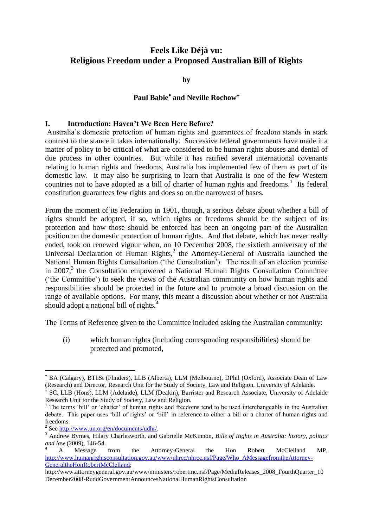# **Feels Like Déjà vu: Religious Freedom under a Proposed Australian Bill of Rights**

**by**

# **Paul Babie and Neville Rochow**

## **I. Introduction: Haven't We Been Here Before?**

Australia's domestic protection of human rights and guarantees of freedom stands in stark contrast to the stance it takes internationally. Successive federal governments have made it a matter of policy to be critical of what are considered to be human rights abuses and denial of due process in other countries. But while it has ratified several international covenants relating to human rights and freedoms, Australia has implemented few of them as part of its domestic law. It may also be surprising to learn that Australia is one of the few Western countries not to have adopted as a bill of charter of human rights and freedoms.<sup>1</sup> Its federal constitution guarantees few rights and does so on the narrowest of bases.

From the moment of its Federation in 1901, though, a serious debate about whether a bill of rights should be adopted, if so, which rights or freedoms should be the subject of its protection and how those should be enforced has been an ongoing part of the Australian position on the domestic protection of human rights. And that debate, which has never really ended, took on renewed vigour when, on 10 December 2008, the sixtieth anniversary of the Universal Declaration of Human Rights, $2$  the Attorney-General of Australia launched the National Human Rights Consultation ('the Consultation'). The result of an election promise in 2007,<sup>3</sup> the Consultation empowered a National Human Rights Consultation Committee (‗the Committee') to seek the views of the Australian community on how human rights and responsibilities should be protected in the future and to promote a broad discussion on the range of available options. For many, this meant a discussion about whether or not Australia should adopt a national bill of rights.<sup>4</sup>

The Terms of Reference given to the Committee included asking the Australian community:

(i) which human rights (including corresponding responsibilities) should be protected and promoted,

BA (Calgary), BThSt (Flinders), LLB (Alberta), LLM (Melbourne), DPhil (Oxford), Associate Dean of Law (Research) and Director, Research Unit for the Study of Society, Law and Religion, University of Adelaide.  $^{+}$ SC, LLB (Hons), LLM (Adelaide), LLM (Deakin), Barrister and Research Associate, University of Adelaide

Research Unit for the Study of Society, Law and Religion.

The terms 'bill' or 'charter' of human rights and freedoms tend to be used interchangeably in the Australian debate. This paper uses 'bill of rights' or 'bill' in reference to either a bill or a charter of human rights and freedoms.

<sup>&</sup>lt;sup>2</sup> Se[e http://www.un.org/en/documents/udhr/.](http://www.un.org/en/documents/udhr/)

<sup>3</sup> Andrew Byrnes, Hilary Charlesworth, and Gabrielle McKinnon, *Bills of Rights in Australia: history, politics and law* (2009), 146-54.

<sup>4</sup> A Message from the Attorney-General the Hon Robert McClelland MP, [http://www.humanrightsconsultation.gov.au/www/nhrcc/nhrcc.nsf/Page/Who\\_AMessagefromtheAttorney-](http://www.humanrightsconsultation.gov.au/www/nhrcc/nhrcc.nsf/Page/Who_AMessagefromtheAttorney-GeneraltheHonRobertMcClelland)[GeneraltheHonRobertMcClelland;](http://www.humanrightsconsultation.gov.au/www/nhrcc/nhrcc.nsf/Page/Who_AMessagefromtheAttorney-GeneraltheHonRobertMcClelland)

http://www.attorneygeneral.gov.au/www/ministers/robertmc.nsf/Page/MediaReleases\_2008\_FourthQuarter\_10 December2008-RuddGovernmentAnnouncesNationalHumanRightsConsultation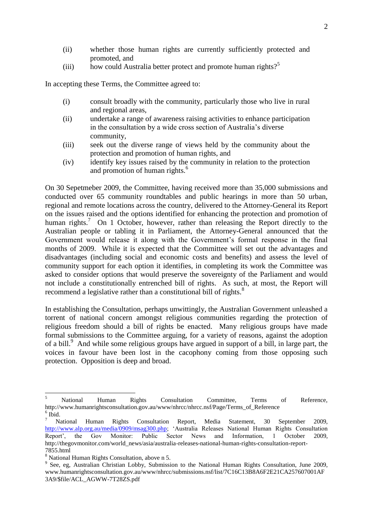- (ii) whether those human rights are currently sufficiently protected and promoted, and
- (iii) how could Australia better protect and promote human rights?<sup>5</sup>

In accepting these Terms, the Committee agreed to:

- (i) consult broadly with the community, particularly those who live in rural and regional areas,
- (ii) undertake a range of awareness raising activities to enhance participation in the consultation by a wide cross section of Australia's diverse community,
- (iii) seek out the diverse range of views held by the community about the protection and promotion of human rights, and
- (iv) identify key issues raised by the community in relation to the protection and promotion of human rights.<sup>6</sup>

On 30 Sepetmeber 2009, the Committee, having received more than 35,000 submissions and conducted over 65 community roundtables and public hearings in more than 50 urban, regional and remote locations across the country, delivered to the Attorney-General its Report on the issues raised and the options identified for enhancing the protection and promotion of human rights.<sup>7</sup> On 1 October, however, rather than releasing the Report directly to the Australian people or tabling it in Parliament, the Attorney-General announced that the Government would release it along with the Government's formal response in the final months of 2009. While it is expected that the Committee will set out the advantages and disadvantages (including social and economic costs and benefits) and assess the level of community support for each option it identifies, in completing its work the Committee was asked to consider options that would preserve the sovereignty of the Parliament and would not include a constitutionally entrenched bill of rights. As such, at most, the Report will recommend a legislative rather than a constitutional bill of rights.<sup>8</sup>

In establishing the Consultation, perhaps unwittingly, the Australian Government unleashed a torrent of national concern amongst religious communities regarding the protection of religious freedom should a bill of rights be enacted. Many religious groups have made formal submissions to the Committee arguing, for a variety of reasons, against the adoption of a bill.<sup>9</sup> And while some religious groups have argued in support of a bill, in large part, the voices in favour have been lost in the cacophony coming from those opposing such protection. Opposition is deep and broad.

<sup>&</sup>lt;sup>5</sup> National Human Rights Consultation Committee, Terms of Reference, http://www.humanrightsconsultation.gov.au/www/nhrcc/nhrcc.nsf/Page/Terms\_of\_Reference  $6$  Ibid.

<sup>7</sup> National Human Rights Consultation Report, Media Statement, 30 September 2009, [http://www.alp.org.au/media/0909/msag300.php;](http://www.alp.org.au/media/0909/msag300.php) ‗Australia Releases National Human Rights Consultation Report', the Gov Monitor: Public Sector News and Information, 1 October 2009, http://thegovmonitor.com/world\_news/asia/australia-releases-national-human-rights-consultation-report-7855.html

<sup>8</sup> National Human Rights Consultation, above n 5.

<sup>&</sup>lt;sup>9</sup> See, eg, Australian Christian Lobby, Submission to the National Human Rights Consultation, June 2009, www.humanrightsconsultation.gov.au/www/nhrcc/submissions.nsf/list/7C16C13B8A6F2E21CA257607001AF 3A9/\$file/ACL\_AGWW-7T28ZS.pdf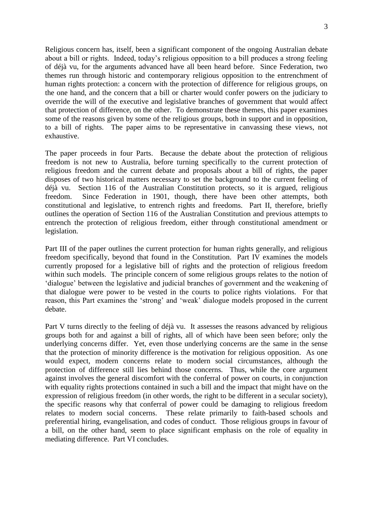Religious concern has, itself, been a significant component of the ongoing Australian debate about a bill or rights. Indeed, today's religious opposition to a bill produces a strong feeling of déjà vu, for the arguments advanced have all been heard before. Since Federation, two themes run through historic and contemporary religious opposition to the entrenchment of human rights protection: a concern with the protection of difference for religious groups, on the one hand, and the concern that a bill or charter would confer powers on the judiciary to override the will of the executive and legislative branches of government that would affect that protection of difference, on the other. To demonstrate these themes, this paper examines some of the reasons given by some of the religious groups, both in support and in opposition, to a bill of rights. The paper aims to be representative in canvassing these views, not exhaustive.

The paper proceeds in four Parts. Because the debate about the protection of religious freedom is not new to Australia, before turning specifically to the current protection of religious freedom and the current debate and proposals about a bill of rights, the paper disposes of two historical matters necessary to set the background to the current feeling of déjà vu. Section 116 of the Australian Constitution protects, so it is argued, religious freedom. Since Federation in 1901, though, there have been other attempts, both constitutional and legislative, to entrench rights and freedoms. Part II, therefore, briefly outlines the operation of Section 116 of the Australian Constitution and previous attempts to entrench the protection of religious freedom, either through constitutional amendment or legislation.

Part III of the paper outlines the current protection for human rights generally, and religious freedom specifically, beyond that found in the Constitution. Part IV examines the models currently proposed for a legislative bill of rights and the protection of religious freedom within such models. The principle concern of some religious groups relates to the notion of ‗dialogue' between the legislative and judicial branches of government and the weakening of that dialogue were power to be vested in the courts to police rights violations. For that reason, this Part examines the 'strong' and 'weak' dialogue models proposed in the current debate.

Part V turns directly to the feeling of déjà vu. It assesses the reasons advanced by religious groups both for and against a bill of rights, all of which have been seen before; only the underlying concerns differ. Yet, even those underlying concerns are the same in the sense that the protection of minority difference is the motivation for religious opposition. As one would expect, modern concerns relate to modern social circumstances, although the protection of difference still lies behind those concerns. Thus, while the core argument against involves the general discomfort with the conferral of power on courts, in conjunction with equality rights protections contained in such a bill and the impact that might have on the expression of religious freedom (in other words, the right to be different in a secular society), the specific reasons why that conferral of power could be damaging to religious freedom relates to modern social concerns. These relate primarily to faith-based schools and preferential hiring, evangelisation, and codes of conduct. Those religious groups in favour of a bill, on the other hand, seem to place significant emphasis on the role of equality in mediating difference. Part VI concludes.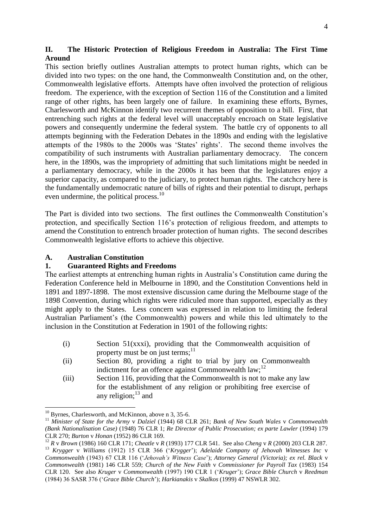## **II. The Historic Protection of Religious Freedom in Australia: The First Time Around**

This section briefly outlines Australian attempts to protect human rights, which can be divided into two types: on the one hand, the Commonwealth Constitution and, on the other, Commonwealth legislative efforts. Attempts have often involved the protection of religious freedom. The experience, with the exception of Section 116 of the Constitution and a limited range of other rights, has been largely one of failure. In examining these efforts, Byrnes, Charlesworth and McKinnon identify two recurrent themes of opposition to a bill. First, that entrenching such rights at the federal level will unacceptably encroach on State legislative powers and consequently undermine the federal system. The battle cry of opponents to all attempts beginning with the Federation Debates in the 1890s and ending with the legislative attempts of the 1980s to the 2000s was 'States' rights'. The second theme involves the compatibility of such instruments with Australian parliamentary democracy. The concern here, in the 1890s, was the impropriety of admitting that such limitations might be needed in a parliamentary democracy, while in the 2000s it has been that the legislatures enjoy a superior capacity, as compared to the judiciary, to protect human rights. The catchcry here is the fundamentally undemocratic nature of bills of rights and their potential to disrupt, perhaps even undermine, the political process.<sup>10</sup>

The Part is divided into two sections. The first outlines the Commonwealth Constitution's protection, and specifically Section 116's protection of religious freedom, and attempts to amend the Constitution to entrench broader protection of human rights. The second describes Commonwealth legislative efforts to achieve this objective.

### **A. Australian Constitution**

#### **1. Guaranteed Rights and Freedoms**

The earliest attempts at entrenching human rights in Australia's Constitution came during the Federation Conference held in Melbourne in 1890, and the Constitution Conventions held in 1891 and 1897-1898. The most extensive discussion came during the Melbourne stage of the 1898 Convention, during which rights were ridiculed more than supported, especially as they might apply to the States. Less concern was expressed in relation to limiting the federal Australian Parliament's (the Commonwealth) powers and while this led ultimately to the inclusion in the Constitution at Federation in 1901 of the following rights:

- (i) Section 51(xxxi), providing that the Commonwealth acquisition of property must be on just terms; $^{11}$
- (ii) Section 80, providing a right to trial by jury on Commonwealth indictment for an offence against Commonwealth  $law$ ;<sup>12</sup>
- (iii) Section 116, providing that the Commonwealth is not to make any law for the establishment of any religion or prohibiting free exercise of any religion: $13$  and

<sup>&</sup>lt;sup>10</sup> Byrnes, Charlesworth, and McKinnon, above n 3, 35-6.

<sup>11</sup> *Minister of State for the Army* v *Dalziel* (1944) 68 CLR 261; *Bank of New South Wales* v *Commonwealth (Bank Nationalisation Case)* (1948) 76 CLR 1; *Re Director of Public Prosecution; ex parte Lawler* (1994) 179 CLR 270; *Burton* v *Honan* (1952) 86 CLR 169.

<sup>12</sup> *R* v *Brown* (1986) 160 CLR 171; *Cheatle* v *R* (1993) 177 CLR 541. See also *Cheng* v *R* (2000) 203 CLR 287.

<sup>13</sup> *Krygger* v *Williams* (1912) 15 CLR 366 (‗*Krygger*'); *Adelaide Company of Jehovah Witnesses Inc* v *Commonwealth* (1943) 67 CLR 116 (‗*Jehovah's Witness Case*'); *Attorney General (Victoria); ex rel. Black* v *Commonwealth* (1981) 146 CLR 559; *Church of the New Faith* v *Commissioner for Payroll Tax* (1983) 154 CLR 120.See also *Kruger* v *Commonwealth* (1997) 190 CLR 1 (‗*Kruger*'); *Grace Bible Church* v *Reedman*  (1984) 36 SASR 376 (‗*Grace Bible Church*'); *Harkianakis* v *Skalkos* (1999) 47 NSWLR 302.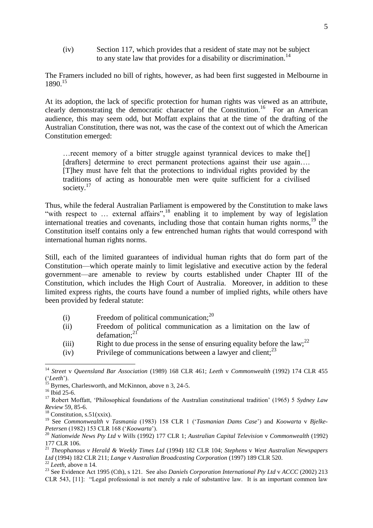(iv) Section 117, which provides that a resident of state may not be subject to any state law that provides for a disability or discrimination.<sup>14</sup>

The Framers included no bill of rights, however, as had been first suggested in Melbourne in 1890.<sup>15</sup>

At its adoption, the lack of specific protection for human rights was viewed as an attribute, clearly demonstrating the democratic character of the Constitution.<sup>16</sup> For an American audience, this may seem odd, but Moffatt explains that at the time of the drafting of the Australian Constitution, there was not, was the case of the context out of which the American Constitution emerged:

…recent memory of a bitter struggle against tyrannical devices to make the[] [drafters] determine to erect permanent protections against their use again.... [T]hey must have felt that the protections to individual rights provided by the traditions of acting as honourable men were quite sufficient for a civilised society.<sup>17</sup>

Thus, while the federal Australian Parliament is empowered by the Constitution to make laws "with respect to ... external affairs",<sup>18</sup> enabling it to implement by way of legislation international treaties and covenants, including those that contain human rights norms, $19$  the Constitution itself contains only a few entrenched human rights that would correspond with international human rights norms.

Still, each of the limited guarantees of individual human rights that do form part of the Constitution—which operate mainly to limit legislative and executive action by the federal government—are amenable to review by courts established under Chapter III of the Constitution, which includes the High Court of Australia. Moreover, in addition to these limited express rights, the courts have found a number of implied rights, while others have been provided by federal statute:

- (i) Freedom of political communication; $^{20}$
- (ii) Freedom of political communication as a limitation on the law of defamation:<sup>21</sup>
- (iii) Right to due process in the sense of ensuring equality before the law;  $^{22}$
- (iv) Privilege of communications between a lawyer and client;  $^{23}$

<sup>14</sup> *Street* v *Queensland Bar Association* (1989) 168 CLR 461; *Leeth* v *Commonwealth* (1992) 174 CLR 455 (‗*Leeth*').

 $15$  Byrnes, Charlesworth, and McKinnon, above n 3, 24-5.

<sup>&</sup>lt;sup>16</sup> Ibid 25-6.

<sup>&</sup>lt;sup>17</sup> Robert Moffatt, 'Philosophical foundations of the Australian constitutional tradition' (1965) 5 *Sydney Law Review* 59, 85-6.

 $18$  Constitution, s.51(xxix).

<sup>19</sup> See *Commonwealth* v *Tasmania* (1983) 158 CLR 1 (‗*Tasmanian Dams Case*') and *Koowarta* v *Bjelke-Petersen* (1982) 153 CLR 168 (‗*Koowarta*').

<sup>20</sup> *Nationwide News Pty Ltd* v *Wills* (1992) 177 CLR 1; *Australian Capital Television* v *Commonwealth* (1992) 177 CLR 106.

<sup>21</sup> *Theophanous v Herald & Weekly Times Ltd* (1994) 182 CLR 104; *Stephens* v *West Australian Newspapers Ltd* (1994) 182 CLR 211; *Lange* v *Australian Broadcasting Corporation* (1997) 189 CLR 520. <sup>22</sup> *Leeth*, above n 14.

<sup>23</sup> See Evidence Act 1995 (Cth), s 121. See also *Daniels Corporation International Pty Ltd* v *ACCC* (2002) 213 CLR 543, [11]: "Legal professional is not merely a rule of substantive law. It is an important common law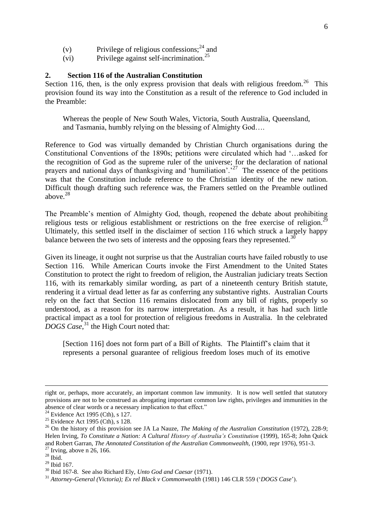- (v) Privilege of religious confessions;<sup>24</sup> and
- (vi) Privilege against self-incrimination.<sup>25</sup>

## **2. Section 116 of the Australian Constitution**

Section 116, then, is the only express provision that deals with religious freedom.<sup>26</sup> This provision found its way into the Constitution as a result of the reference to God included in the Preamble:

Whereas the people of New South Wales, Victoria, South Australia, Queensland, and Tasmania, humbly relying on the blessing of Almighty God….

Reference to God was virtually demanded by Christian Church organisations during the Constitutional Conventions of the 1890s; petitions were circulated which had ‗…asked for the recognition of God as the supreme ruler of the universe; for the declaration of national prayers and national days of thanksgiving and 'humiliation'.<sup>27</sup> The essence of the petitions was that the Constitution include reference to the Christian identity of the new nation. Difficult though drafting such reference was, the Framers settled on the Preamble outlined above $^{28}$ 

The Preamble's mention of Almighty God, though, reopened the debate about prohibiting religious tests or religious establishment or restrictions on the free exercise of religion.<sup>29</sup> Ultimately, this settled itself in the disclaimer of section 116 which struck a largely happy balance between the two sets of interests and the opposing fears they represented.<sup>30</sup>

Given its lineage, it ought not surprise us that the Australian courts have failed robustly to use Section 116. While American Courts invoke the First Amendment to the United States Constitution to protect the right to freedom of religion, the Australian judiciary treats Section 116, with its remarkably similar wording, as part of a nineteenth century British statute, rendering it a virtual dead letter as far as conferring any substantive rights. Australian Courts rely on the fact that Section 116 remains dislocated from any bill of rights, properly so understood, as a reason for its narrow interpretation. As a result, it has had such little practical impact as a tool for protection of religious freedoms in Australia. In the celebrated *DOGS Case*, <sup>31</sup> the High Court noted that:

[Section 116] does not form part of a Bill of Rights. The Plaintiff's claim that it represents a personal guarantee of religious freedom loses much of its emotive

 $\overline{\phantom{a}}$ 

right or, perhaps, more accurately, an important common law immunity. It is now well settled that statutory provisions are not to be construed as abrogating important common law rights, privileges and immunities in the absence of clear words or a necessary implication to that effect."

 $24$  Evidence Act 1995 (Cth), s 127.

 $25$  Evidence Act 1995 (Cth), s 128.

<sup>26</sup> On the history of this provision see JA La Nauze, *The Making of the Australian Constitution* (1972), 228-9; Helen Irving, *To Constitute a Nation: A Cultural History of Australia's Constitution* (1999), 165-8; John Quick and Robert Garran, *The Annotated Constitution of the Australian Commonwealth,* (1900, repr 1976), 951-3.  $27$  Irving, above n 26, 166.

 $28$  Ibid.

 $29$  Ibid 167.

<sup>30</sup> Ibid 167-8. See also Richard Ely, *Unto God and Caesar* (1971).

<sup>&</sup>lt;sup>31</sup> Attorney-General (Victoria); Ex rel Black v Commonwealth (1981) 146 CLR 559 (*`DOGS Case*').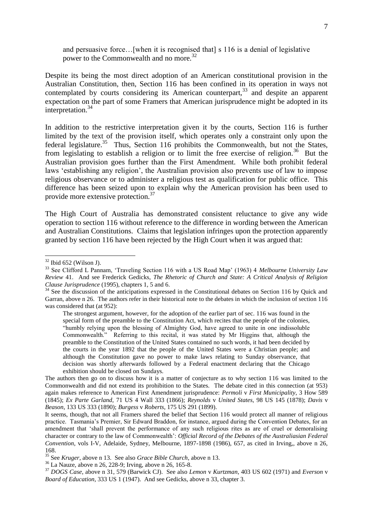and persuasive force…[when it is recognised that] s 116 is a denial of legislative power to the Commonwealth and no more.<sup>32</sup>

Despite its being the most direct adoption of an American constitutional provision in the Australian Constitution, then, Section 116 has been confined in its operation in ways not contemplated by courts considering its American counterpart,<sup>33</sup> and despite an apparent expectation on the part of some Framers that American jurisprudence might be adopted in its interpretation.<sup>34</sup>

In addition to the restrictive interpretation given it by the courts, Section 116 is further limited by the text of the provision itself, which operates only a constraint only upon the federal legislature.<sup>35</sup> Thus, Section 116 prohibits the Commonwealth, but not the States, from legislating to establish a religion or to limit the free exercise of religion.<sup>36</sup> But the Australian provision goes further than the First Amendment. While both prohibit federal laws 'establishing any religion', the Australian provision also prevents use of law to impose religious observance or to administer a religious test as qualification for public office. This difference has been seized upon to explain why the American provision has been used to provide more extensive protection.<sup>37</sup>

The High Court of Australia has demonstrated consistent reluctance to give any wide operation to section 116 without reference to the difference in wording between the American and Australian Constitutions. Claims that legislation infringes upon the protection apparently granted by section 116 have been rejected by the High Court when it was argued that:

 $32$  Ibid 652 (Wilson J).

<sup>&</sup>lt;sup>33</sup> See Clifford L Pannam, 'Traveling Section 116 with a US Road Map' (1963) 4 *Melbourne University Law Review* 41. And see Frederick Gedicks, *The Rhetoric of Church and State: A Critical Analysis of Religion Clause Jurisprudence* (1995), chapters 1, 5 and 6.

<sup>&</sup>lt;sup>34</sup> See the discussion of the anticipations expressed in the Constitutional debates on Section 116 by Quick and Garran, above n 26. The authors refer in their historical note to the debates in which the inclusion of section 116 was considered that (at 952):

The strongest argument, however, for the adoption of the earlier part of sec. 116 was found in the special form of the preamble to the Constitution Act, which recites that the people of the colonies, ―humbly relying upon the blessing of Almighty God, have agreed to unite in one indissoluble Commonwealth." Referring to this recital, it was stated by Mr Higgins that, although the preamble to the Constitution of the United States contained no such words, it had been decided by the courts in the year 1892 that the people of the United States were a Christian people; and although the Constitution gave no power to make laws relating to Sunday observance, that decision was shortly afterwards followed by a Federal enactment declaring that the Chicago exhibition should be closed on Sundays.

The authors then go on to discuss how it is a matter of conjecture as to why section 116 was limited to the Commonwealth and did not extend its prohibition to the States. The debate cited in this connection (at 953) again makes reference to American First Amendment jurisprudence: *Permoli* v *First Municipality*, 3 How 589 (1845); *Ex Parte Garland*, 71 US 4 Wall 333 (1866); *Reynolds* v *United States*, 98 US 145 (1878); *Davis* v *Beason*, 133 US 333 (1890); *Burgess* v *Roberts*, 175 US 291 (1899).

It seems, though, that not all Framers shared the belief that Section 116 would protect all manner of religious practice. Tasmania's Premier, Sir Edward Braddon, for instance, argued during the Convention Debates, for an amendment that ‗shall prevent the performance of any such religious rites as are of cruel or demoralising character or contrary to the law of Commonwealth': *Official Record of the Debates of the Australiasian Federal Convention*, vols I-V, Adelaide, Sydney, Melbourne, 1897-1898 (1986), 657, as cited in Irving,, above n 26, 168.

<sup>35</sup> See *Kruger*, above n 13. See also *Grace Bible Church*, above n 13.

<sup>36</sup> La Nauze, above n 26, 228-9; Irving, above n 26, 165-8.

<sup>37</sup> *DOGS Case*, above n 31, 579 (Barwick CJ). See also *Lemon* v *Kurtzman*, 403 US 602 (1971) and *Everson* v *Board of Education*, 333 US 1 (1947). And see Gedicks, above n 33, chapter 3.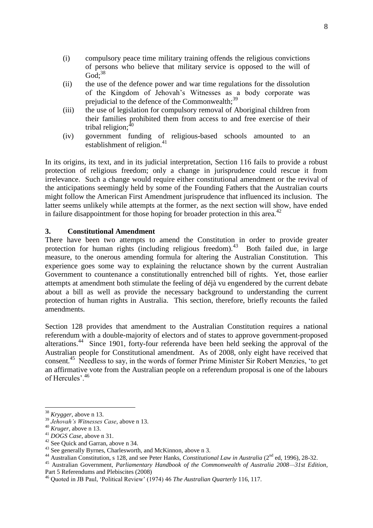- (i) compulsory peace time military training offends the religious convictions of persons who believe that military service is opposed to the will of  $God:<sup>38</sup>$
- (ii) the use of the defence power and war time regulations for the dissolution of the Kingdom of Jehovah's Witnesses as a body corporate was prejudicial to the defence of the Commonwealth; $39$
- (iii) the use of legislation for compulsory removal of Aboriginal children from their families prohibited them from access to and free exercise of their tribal religion; $40$
- (iv) government funding of religious-based schools amounted to an establishment of religion. $41$

In its origins, its text, and in its judicial interpretation, Section 116 fails to provide a robust protection of religious freedom; only a change in jurisprudence could rescue it from irrelevance. Such a change would require either constitutional amendment or the revival of the anticipations seemingly held by some of the Founding Fathers that the Australian courts might follow the American First Amendment jurisprudence that influenced its inclusion. The latter seems unlikely while attempts at the former, as the next section will show, have ended in failure disappointment for those hoping for broader protection in this area.<sup>42</sup>

## **3. Constitutional Amendment**

There have been two attempts to amend the Constitution in order to provide greater protection for human rights (including religious freedom).<sup>43</sup> Both failed due, in large measure, to the onerous amending formula for altering the Australian Constitution. This experience goes some way to explaining the reluctance shown by the current Australian Government to countenance a constitutionally entrenched bill of rights. Yet, those earlier attempts at amendment both stimulate the feeling of déjà vu engendered by the current debate about a bill as well as provide the necessary background to understanding the current protection of human rights in Australia. This section, therefore, briefly recounts the failed amendments.

Section 128 provides that amendment to the Australian Constitution requires a national referendum with a double-majority of electors and of states to approve [government-](http://en.wikipedia.org/wiki/Government_of_Australia)proposed alterations. 44 Since 1901, forty-four referenda have been held seeking the approval of the Australian people for Constitutional amendment. As of 2008, only eight have received that consent.<sup>45</sup> Needless to say, in the words of former Prime Minister Sir Robert Menzies, 'to get an affirmative vote from the Australian people on a referendum proposal is one of the labours of Hercules'.<sup>46</sup>

<sup>38</sup> *Krygger*, above n 13.

<sup>39</sup> *Jehovah's Witnesses Case*, above n 13.

<sup>40</sup> *Kruger*, above n 13.

<sup>41</sup> *DOGS Case*, above n 31.

<sup>42</sup> See Quick and Garran, above n 34.

<sup>&</sup>lt;sup>43</sup> See generally Byrnes, Charlesworth, and McKinnon, above n 3.

<sup>44</sup> Australian Constitution, s 128, and see Peter Hanks, *Constitutional Law in Australia* (2nd ed, 1996), 28-32.

<sup>45</sup> Australian Government, *Parliamentary Handbook of the Commonwealth of Australia 2008—31st Edition*, Part 5 Referendums and Plebiscites (2008)

<sup>46</sup> Quoted in JB Paul, ‗Political Review' (1974) 46 *The Australian Quarterly* 116, 117.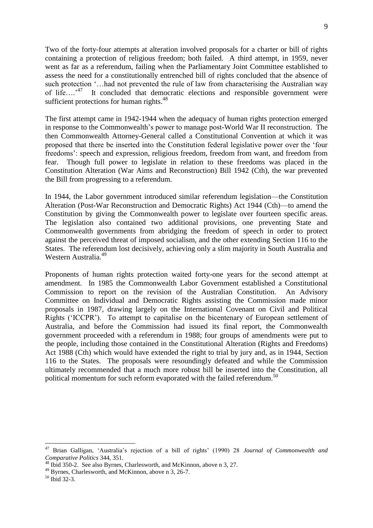Two of the forty-four attempts at alteration involved proposals for a charter or bill of rights containing a protection of religious freedom; both failed. A third attempt, in 1959, never went as far as a referendum, failing when the Parliamentary Joint Committee established to assess the need for a constitutionally entrenched bill of rights concluded that the absence of such protection  $\ldots$  had not prevented the rule of law from characterising the Australian way of life....<sup>47</sup> It concluded that democratic elections and responsible government were sufficient protections for human rights. $48$ 

The first attempt came in 1942-1944 when the adequacy of human rights protection emerged in response to the Commonwealth's power to manage post-World War II reconstruction. The then Commonwealth Attorney-General called a Constitutional Convention at which it was proposed that there be inserted into the Constitution federal legislative power over the 'four freedoms': speech and expression, religious freedom, freedom from want, and freedom from fear. Though full power to legislate in relation to these freedoms was placed in the Constitution Alteration (War Aims and Reconstruction) Bill 1942 (Cth), the war prevented the Bill from progressing to a referendum.

In 1944, the Labor government introduced similar referendum legislation—the Constitution Alteration (Post-War Reconstruction and Democratic Rights) Act 1944 (Cth)—to amend the Constitution by giving the Commonwealth power to legislate over fourteen specific areas. The legislation also contained two additional provisions, one preventing State and Commonwealth governments from abridging the freedom of speech in order to protect against the perceived threat of imposed socialism, and the other extending Section 116 to the States. The referendum lost decisively, achieving only a slim majority in South Australia and Western Australia.<sup>49</sup>

Proponents of human rights protection waited forty-one years for the second attempt at amendment. In 1985 the Commonwealth Labor Government established a Constitutional Commission to report on the revision of the Australian Constitution. An Advisory Committee on Individual and Democratic Rights assisting the Commission made minor proposals in 1987, drawing largely on the International Covenant on Civil and Political Rights ('ICCPR'). To attempt to capitalise on the bicentenary of European settlement of Australia, and before the Commission had issued its final report, the Commonwealth government proceeded with a referendum in 1988; four groups of amendments were put to the people, including those contained in the Constitutional Alteration (Rights and Freedoms) Act 1988 (Cth) which would have extended the right to trial by jury and, as in 1944, Section 116 to the States. The proposals were resoundingly defeated and while the Commission ultimately recommended that a much more robust bill be inserted into the Constitution, all political momentum for such reform evaporated with the failed referendum.<sup>50</sup>

**<sup>.</sup>** <sup>47</sup> Brian Galligan, ‗Australia's rejection of a bill of rights' (1990) 28 *Journal of Commonwealth and Comparative Politics* 344, 351.

<sup>48</sup> Ibid 350-2. See also Byrnes, Charlesworth, and McKinnon, above n 3, 27.

<sup>49</sup> Byrnes, Charlesworth, and McKinnon, above n 3, 26-7.

 $50$  Ibid 32-3.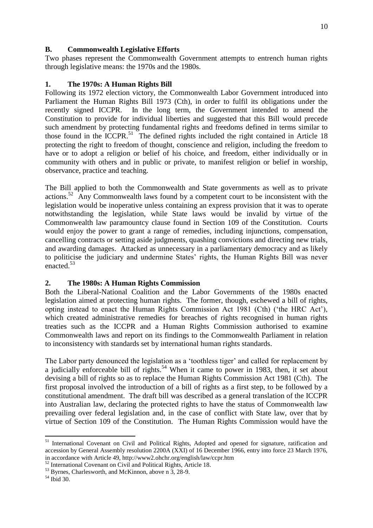## **B. Commonwealth Legislative Efforts**

Two phases represent the Commonwealth Government attempts to entrench human rights through legislative means: the 1970s and the 1980s.

## **1. The 1970s: A Human Rights Bill**

Following its 1972 election victory, the Commonwealth Labor Government introduced into Parliament the Human Rights Bill 1973 (Cth), in order to fulfil its obligations under the recently signed ICCPR. In the long term, the Government intended to amend the Constitution to provide for individual liberties and suggested that this Bill would precede such amendment by protecting fundamental rights and freedoms defined in terms similar to those found in the ICCPR. $51$  The defined rights included the right contained in Article 18 protecting the right to freedom of thought, conscience and religion, including the freedom to have or to adopt a religion or belief of his choice, and freedom, either individually or in community with others and in public or private, to manifest religion or belief in worship, observance, practice and teaching.

The Bill applied to both the Commonwealth and State governments as well as to private  $\arctan s$ <sup>52</sup> Any Commonwealth laws found by a competent court to be inconsistent with the legislation would be inoperative unless containing an express provision that it was to operate notwithstanding the legislation, while State laws would be invalid by virtue of the Commonwealth law paramountcy clause found in Section 109 of the Constitution. Courts would enjoy the power to grant a range of remedies, including injunctions, compensation, cancelling contracts or setting aside judgments, quashing convictions and directing new trials, and awarding damages. Attacked as unnecessary in a parliamentary democracy and as likely to politicise the judiciary and undermine States' rights, the Human Rights Bill was never enacted.<sup>53</sup>

# **2. The 1980s: A Human Rights Commission**

Both the Liberal-National Coalition and the Labor Governments of the 1980s enacted legislation aimed at protecting human rights. The former, though, eschewed a bill of rights, opting instead to enact the Human Rights Commission Act 1981 (Cth) ('the HRC Act'), which created administrative remedies for breaches of rights recognised in human rights treaties such as the ICCPR and a Human Rights Commission authorised to examine Commonwealth laws and report on its findings to the Commonwealth Parliament in relation to inconsistency with standards set by international human rights standards.

The Labor party denounced the legislation as a 'toothless tiger' and called for replacement by a judicially enforceable bill of rights.<sup>54</sup> When it came to power in 1983, then, it set about devising a bill of rights so as to replace the Human Rights Commission Act 1981 (Cth). The first proposal involved the introduction of a bill of rights as a first step, to be followed by a constitutional amendment. The draft bill was described as a general translation of the ICCPR into Australian law, declaring the protected rights to have the status of Commonwealth law prevailing over federal legislation and, in the case of conflict with State law, over that by virtue of Section 109 of the Constitution. The Human Rights Commission would have the

<sup>&</sup>lt;sup>51</sup> International Covenant on Civil and Political Rights, Adopted and opened for signature, ratification and accession by General Assembly resolution 2200A (XXI) of 16 December 1966, entry into force 23 March 1976, in accordance with Article 49, http://www2.ohchr.org/english/law/ccpr.htm

<sup>&</sup>lt;sup>52</sup> International Covenant on Civil and Political Rights, Article 18.

 $53$  Byrnes. Charlesworth, and McKinnon, above n  $3$ , 28-9.

 $54$  Ibid 30.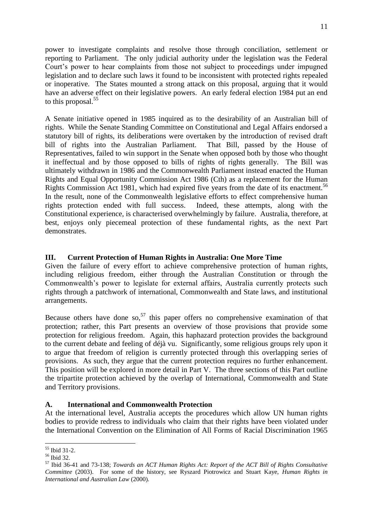power to investigate complaints and resolve those through conciliation, settlement or reporting to Parliament. The only judicial authority under the legislation was the Federal Court's power to hear complaints from those not subject to proceedings under impugned legislation and to declare such laws it found to be inconsistent with protected rights repealed or inoperative. The States mounted a strong attack on this proposal, arguing that it would have an adverse effect on their legislative powers. An early federal election 1984 put an end to this proposal.<sup>55</sup>

A Senate initiative opened in 1985 inquired as to the desirability of an Australian bill of rights. While the Senate Standing Committee on Constitutional and Legal Affairs endorsed a statutory bill of rights, its deliberations were overtaken by the introduction of revised draft bill of rights into the Australian Parliament. That Bill, passed by the House of Representatives, failed to win support in the Senate when opposed both by those who thought it ineffectual and by those opposed to bills of rights of rights generally. The Bill was ultimately withdrawn in 1986 and the Commonwealth Parliament instead enacted the Human Rights and Equal Opportunity Commission Act 1986 (Cth) as a replacement for the Human Rights Commission Act 1981, which had expired five years from the date of its enactment.<sup>56</sup> In the result, none of the Commonwealth legislative efforts to effect comprehensive human rights protection ended with full success. Indeed, these attempts, along with the Constitutional experience, is characterised overwhelmingly by failure. Australia, therefore, at best, enjoys only piecemeal protection of these fundamental rights, as the next Part demonstrates.

## **III. Current Protection of Human Rights in Australia: One More Time**

Given the failure of every effort to achieve comprehensive protection of human rights, including religious freedom, either through the Australian Constitution or through the Commonwealth's power to legislate for external affairs, Australia currently protects such rights through a patchwork of international, Commonwealth and State laws, and institutional arrangements.

Because others have done so,  $57$  this paper offers no comprehensive examination of that protection; rather, this Part presents an overview of those provisions that provide some protection for religious freedom. Again, this haphazard protection provides the background to the current debate and feeling of déjà vu. Significantly, some religious groups rely upon it to argue that freedom of religion is currently protected through this overlapping series of provisions. As such, they argue that the current protection requires no further enhancement. This position will be explored in more detail in Part V. The three sections of this Part outline the tripartite protection achieved by the overlap of International, Commonwealth and State and Territory provisions.

## **A. International and Commonwealth Protection**

At the international level, Australia accepts the procedures which allow UN human rights bodies to provide redress to individuals who claim that their rights have been violated under the International Convention on the Elimination of All Forms of Racial Discrimination 1965

<sup>55</sup> Ibid 31-2.

<sup>56</sup> Ibid 32.

<sup>57</sup> Ibid 36-41 and 73-138; *Towards an ACT Human Rights Act: Report of the ACT Bill of Rights Consultative Committee* (2003). For some of the history, see Ryszard Piotrowicz and Stuart Kaye, *Human Rights in International and Australian Law* (2000).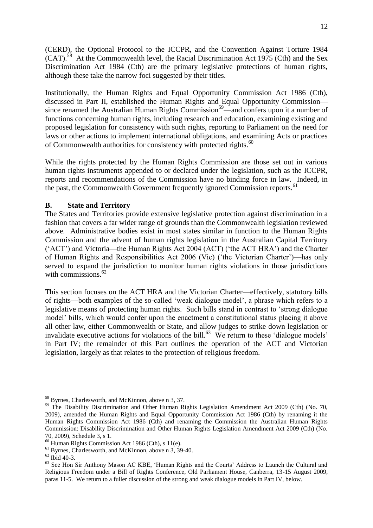(CERD), the Optional Protocol to the ICCPR, and the Convention Against Torture 1984  $(CAT)$ .<sup>58</sup> At the Commonwealth level, the Racial Discrimination Act 1975 (Cth) and the Sex Discrimination Act 1984 (Cth) are the primary legislative protections of human rights, although these take the narrow foci suggested by their titles.

Institutionally, the Human Rights and Equal Opportunity Commission Act 1986 (Cth), discussed in Part II, established the Human Rights and Equal Opportunity Commission since renamed the Australian Human Rights Commission<sup>59</sup>—and confers upon it a number of functions concerning human rights, including research and education, examining existing and proposed legislation for consistency with such rights, reporting to Parliament on the need for laws or other actions to implement international obligations, and examining Acts or practices of Commonwealth authorities for consistency with protected rights.<sup>60</sup>

While the rights protected by the Human Rights Commission are those set out in various human rights instruments appended to or declared under the legislation, such as the ICCPR, reports and recommendations of the Commission have no binding force in law. Indeed, in the past, the Commonwealth Government frequently ignored Commission reports.<sup>61</sup>

#### **B. State and Territory**

The States and Territories provide extensive legislative protection against discrimination in a fashion that covers a far wider range of grounds than the Commonwealth legislation reviewed above. Administrative bodies exist in most states similar in function to the Human Rights Commission and the advent of human rights legislation in the Australian Capital Territory (‗ACT') and Victoria—the Human Rights Act 2004 (ACT) (‗the ACT HRA') and the Charter of Human Rights and Responsibilities Act 2006 (Vic) (‗the Victorian Charter')—has only served to expand the jurisdiction to monitor human rights violations in those jurisdictions with commissions. $62$ 

This section focuses on the ACT HRA and the Victorian Charter—effectively, statutory bills of rights—both examples of the so-called 'weak dialogue model', a phrase which refers to a legislative means of protecting human rights. Such bills stand in contrast to 'strong dialogue model' bills, which would confer upon the enactment a constitutional status placing it above all other law, either Commonwealth or State, and allow judges to strike down legislation or invalidate executive actions for violations of the bill.<sup>63</sup> We return to these 'dialogue models' in Part IV; the remainder of this Part outlines the operation of the ACT and Victorian legislation, largely as that relates to the protection of religious freedom.

<sup>&</sup>lt;sup>58</sup> Byrnes, Charlesworth, and McKinnon, above n 3, 37.

<sup>&</sup>lt;sup>59</sup> The Disability Discrimination and Other Human Rights Legislation Amendment Act 2009 (Cth) (No. 70, 2009), amended the Human Rights and Equal Opportunity Commission Act 1986 (Cth) by renaming it the Human Rights Commission Act 1986 (Cth) and renaming the Commission the Australian Human Rights Commission: Disability Discrimination and Other Human Rights Legislation Amendment Act 2009 (Cth) (No. 70, 2009), Schedule 3, s 1.

<sup>60</sup> Human Rights Commission Act 1986 (Cth), s 11(e).

<sup>61</sup> Byrnes, Charlesworth, and McKinnon, above n 3, 39-40.

 $62$  Ibid 40-3.

<sup>&</sup>lt;sup>63</sup> See Hon Sir Anthony Mason AC KBE, 'Human Rights and the Courts' Address to Launch the Cultural and Religious Freedom under a Bill of Rights Conference, Old Parliament House, Canberra, 13-15 August 2009, paras 11-5. We return to a fuller discussion of the strong and weak dialogue models in Part IV, below.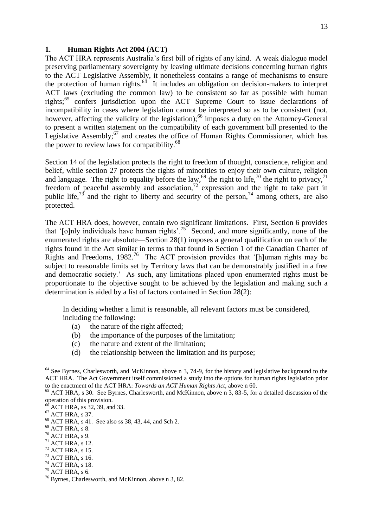#### **1. Human Rights Act 2004 (ACT)**

The ACT HRA represents Australia's first bill of rights of any kind. A weak dialogue model preserving parliamentary sovereignty by leaving ultimate decisions concerning human rights to the ACT Legislative Assembly, it nonetheless contains a range of mechanisms to ensure the protection of human rights. $64$  It includes an obligation on decision-makers to interpret ACT laws (excluding the common law) to be consistent so far as possible with human rights;<sup>65</sup> confers jurisdiction upon the ACT Supreme Court to issue declarations of incompatibility in cases where legislation cannot be interpreted so as to be consistent (not, however, affecting the validity of the legislation);<sup>66</sup> imposes a duty on the Attorney-General to present a written statement on the compatibility of each government bill presented to the Legislative Assembly; $^{67}$  and creates the office of Human Rights Commissioner, which has the power to review laws for compatibility. $68$ 

Section 14 of the legislation protects the right to freedom of thought, conscience, religion and belief, while section 27 protects the rights of minorities to enjoy their own culture, religion and language. The right to equality before the law,  $^{69}$  the right to life,  $^{70}$  the right to privacy,  $^{71}$ freedom of peaceful assembly and association, $72$  expression and the right to take part in public life,<sup>73</sup> and the right to liberty and security of the person,<sup>74</sup> among others, are also protected.

The ACT HRA does, however, contain two significant limitations. First, Section 6 provides that '[o]nly individuals have human rights'.<sup>75</sup> Second, and more significantly, none of the enumerated rights are absolute—Section 28(1) imposes a general qualification on each of the rights found in the Act similar in terms to that found in Section 1 of the Canadian Charter of Rights and Freedoms,  $1982<sup>76</sup>$  The ACT provision provides that '[h]uman rights may be subject to reasonable limits set by Territory laws that can be demonstrably justified in a free and democratic society.' As such, any limitations placed upon enumerated rights must be proportionate to the objective sought to be achieved by the legislation and making such a determination is aided by a list of factors contained in Section 28(2):

In deciding whether a limit is reasonable, all relevant factors must be considered, including the following:

- (a) the nature of the right affected;
- (b) the importance of the purposes of the limitation;
- (c) the nature and extent of the limitation;
- (d) the relationship between the limitation and its purpose;

<sup>&</sup>lt;sup>64</sup> See Byrnes, Charlesworth, and McKinnon, above n 3, 74-9, for the history and legislative background to the ACT HRA. The Act Government itself commissioned a study into the options for human rights legislation prior to the enactment of the ACT HRA: *Towards an ACT Human Rights Act*, above n 60.

<sup>&</sup>lt;sup>65</sup> ACT HRA, s 30. See Byrnes, Charlesworth, and McKinnon, above n 3, 83-5, for a detailed discussion of the operation of this provision.

 $^{66}$  ACT HRA, ss 32, 39, and 33.

 $^{67}$  ACT HRA, s 37.

<sup>68</sup> ACT HRA, s 41. See also ss 38, 43, 44, and Sch 2.

 $^{69}$  ACT HRA, s  $8.$ 

 $70$  ACT HRA, s 9.

 $71$  ACT HRA, s 12.

 $72$  ACT HRA, s 15.

 $^{73}$  ACT HRA, s 16.

 $74$  ACT HRA, s 18.  $^{75}$  ACT HRA, s 6.

<sup>76</sup> Byrnes, Charlesworth, and McKinnon, above n 3, 82.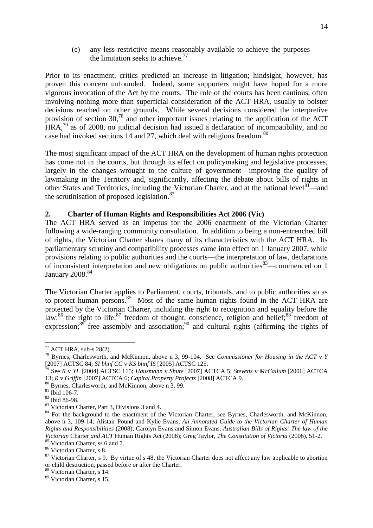(e) any less restrictive means reasonably available to achieve the purposes the limitation seeks to achieve.<sup>77</sup>

Prior to its enactment, critics predicted an increase in litigation; hindsight, however, has proven this concern unfounded. Indeed, some supporters might have hoped for a more vigorous invocation of the Act by the courts. The role of the courts has been cautious, often involving nothing more than superficial consideration of the ACT HRA, usually to bolster decisions reached on other grounds. While several decisions considered the interpretive provision of section 30,<sup>78</sup> and other important issues relating to the application of the ACT  $HRA<sup>79</sup>$  as of 2008, no judicial decision had issued a declaration of incompatibility, and no case had invoked sections 14 and 27, which deal with religious freedom.<sup>80</sup>

The most significant impact of the ACT HRA on the development of human rights protection has come not in the courts, but through its effect on policymaking and legislative processes, largely in the changes wrought to the culture of government—improving the quality of lawmaking in the Territory and, significantly, affecting the debate about bills of rights in other States and Territories, including the Victorian Charter, and at the national level  $81$ —and the scrutinisation of proposed legislation. $82$ 

#### **2. Charter of Human Rights and Responsibilities Act 2006 (Vic)**

The ACT HRA served as an impetus for the 2006 enactment of the Victorian Charter following a wide-ranging community consultation. In addition to being a non-entrenched bill of rights, the Victorian Charter shares many of its characteristics with the ACT HRA. Its parliamentary scrutiny and compatibility processes came into effect on 1 January 2007, while provisions relating to public authorities and the courts—the interpretation of law, declarations of inconsistent interpretation and new obligations on public authorities  $83$ —commenced on 1 January 2008.<sup>84</sup>

The Victorian Charter applies to Parliament, courts, tribunals, and to public authorities so as to protect human persons.<sup>85</sup> Most of the same human rights found in the ACT HRA are protected by the Victorian Charter, including the right to recognition and equality before the law;<sup>86</sup> the right to life;<sup>87</sup> freedom of thought, conscience, religion and belief;<sup>88</sup> freedom of expression;<sup>89</sup> free assembly and association;<sup>90</sup> and cultural rights (affirming the rights of

<sup>80</sup> Byrnes, Charlesworth, and McKinnon, above n 3, 99.

 $77$  ACT HRA, sub-s 28(2).

<sup>78</sup> Byrnes, Charlesworth, and McKinnon, above n 3, 99-104. See *Commissioner for Housing in the ACT* v *Y* [2007] ACTSC 84; *SI bhnf CC* v *KS bhnf IS* [2005] ACTSC 125.

<sup>79</sup> See *R* v *YL* [2004] ACTSC 115; *Hausmann* v *Shute* [2007] ACTCA 5; *Stevens* v *McCallum* [2006] ACTCA 13; *R* v *Griffin* [2007] ACTCA 6; *Capital Property Projects* [2008] ACTCA 9.

<sup>81</sup> Ibid 106-7.

<sup>82</sup> Ibid 86-98.

<sup>83</sup> Victorian Charter, Part 3, Divisions 3 and 4.

<sup>&</sup>lt;sup>84</sup> For the background to the enactment of the Victorian Charter, see Byrnes, Charlesworth, and McKinnon, above n 3, 109-14; Alistair Pound and Kylie Evans, *An Annotated Guide to the Victorian Charter of Human Rights and Responsibilities* (2008); Carolyn Evans and Simon Evans, *Australian Bills of Rights: The law of the Victorian* Charter *and ACT* Human Rights Act (2008); Greg Taylor, *The Constitution of Victoria* (2006), 51-2.

<sup>85</sup> Victorian Charter, ss 6 and 7.

<sup>86</sup> Victorian Charter, s 8.

<sup>&</sup>lt;sup>87</sup> Victorian Charter, s 9. By virtue of s 48, the Victorian Charter does not affect any law applicable to abortion or child destruction, passed before or after the Charter.

<sup>88</sup> Victorian Charter, s 14.

<sup>89</sup> Victorian Charter, s 15.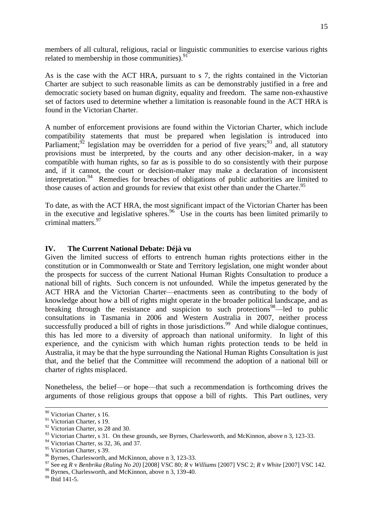members of all cultural, religious, racial or linguistic communities to exercise various rights related to membership in those communities). $^{91}$ 

As is the case with the ACT HRA, pursuant to s 7, the rights contained in the Victorian Charter are subject to such reasonable limits as can be demonstrably justified in a free and democratic society based on human dignity, equality and freedom. The same non-exhaustive set of factors used to determine whether a limitation is reasonable found in the ACT HRA is found in the Victorian Charter.

A number of enforcement provisions are found within the Victorian Charter, which include compatibility statements that must be prepared when legislation is introduced into Parliament;<sup>92</sup> legislation may be overridden for a period of five years;<sup>93</sup> and, all statutory provisions must be interpreted, by the courts and any other decision-maker, in a way compatible with human rights, so far as is possible to do so consistently with their purpose and, if it cannot, the court or decision-maker may make a declaration of inconsistent interpretation.<sup>94</sup> Remedies for breaches of obligations of public authorities are limited to those causes of action and grounds for review that exist other than under the Charter.<sup>95</sup>

To date, as with the ACT HRA, the most significant impact of the Victorian Charter has been in the executive and legislative spheres.<sup>96</sup> Use in the courts has been limited primarily to criminal matters.<sup>97</sup>

#### **IV. The Current National Debate: Déjà vu**

Given the limited success of efforts to entrench human rights protections either in the constitution or in Commonwealth or State and Territory legislation, one might wonder about the prospects for success of the current National Human Rights Consultation to produce a national bill of rights. Such concern is not unfounded. While the impetus generated by the ACT HRA and the Victorian Charter—enactments seen as contributing to the body of knowledge about how a bill of rights might operate in the broader political landscape, and as breaking through the resistance and suspicion to such protections $98$ —led to public consultations in Tasmania in 2006 and Western Australia in 2007, neither process successfully produced a bill of rights in those jurisdictions.<sup>99</sup> And while dialogue continues, this has led more to a diversity of approach than national uniformity. In light of this experience, and the cynicism with which human rights protection tends to be held in Australia, it may be that the hype surrounding the National Human Rights Consultation is just that, and the belief that the Committee will recommend the adoption of a national bill or charter of rights misplaced.

Nonetheless, the belief—or hope—that such a recommendation is forthcoming drives the arguments of those religious groups that oppose a bill of rights. This Part outlines, very

<sup>&</sup>lt;sup>90</sup> Victorian Charter, s 16.

<sup>&</sup>lt;sup>91</sup> Victorian Charter, s 19.

<sup>&</sup>lt;sup>92</sup> Victorian Charter, ss 28 and 30.

<sup>&</sup>lt;sup>93</sup> Victorian Charter, s 31. On these grounds, see Byrnes, Charlesworth, and McKinnon, above n 3, 123-33.

<sup>&</sup>lt;sup>94</sup> Victorian Charter, ss 32, 36, and 37.

<sup>&</sup>lt;sup>95</sup> Victorian Charter, s 39.

<sup>96</sup> Byrnes, Charlesworth, and McKinnon, above n 3, 123-33.

<sup>97</sup> See eg *R* v *Benbrika (Ruling No 20)* [2008] VSC 80; *R* v *Williams* [2007] VSC 2; *R* v *White* [2007] VSC 142.

<sup>98</sup> Byrnes. Charlesworth, and McKinnon, above n 3, 139-40.

<sup>99</sup> Ibid 141-5.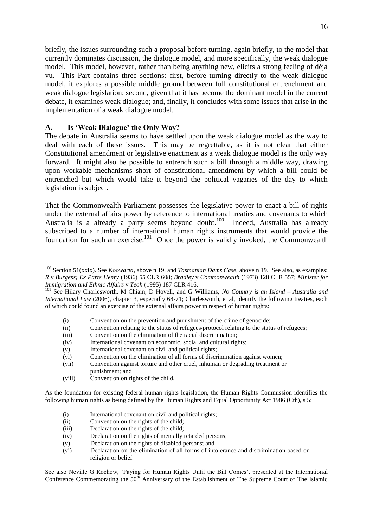briefly, the issues surrounding such a proposal before turning, again briefly, to the model that currently dominates discussion, the dialogue model, and more specifically, the weak dialogue model. This model, however, rather than being anything new, elicits a strong feeling of déjà vu. This Part contains three sections: first, before turning directly to the weak dialogue model, it explores a possible middle ground between full constitutional entrenchment and weak dialogue legislation; second, given that it has become the dominant model in the current debate, it examines weak dialogue; and, finally, it concludes with some issues that arise in the implementation of a weak dialogue model.

## **A. Is 'Weak Dialogue' the Only Way?**

**.** 

The debate in Australia seems to have settled upon the weak dialogue model as the way to deal with each of these issues. This may be regrettable, as it is not clear that either Constitutional amendment or legislative enactment as a weak dialogue model is the only way forward. It might also be possible to entrench such a bill through a middle way, drawing upon workable mechanisms short of constitutional amendment by which a bill could be entrenched but which would take it beyond the political vagaries of the day to which legislation is subject.

That the Commonwealth Parliament possesses the legislative power to enact a bill of rights under the external affairs power by reference to international treaties and covenants to which Australia is a already a party seems beyond doubt.<sup>100</sup> Indeed, Australia has already subscribed to a number of international human rights instruments that would provide the foundation for such an exercise.<sup>101</sup> Once the power is validly invoked, the Commonwealth

- (i) Convention on the prevention and punishment of the crime of genocide;
- (ii) Convention relating to the status of refugees/protocol relating to the status of refugees;
- (iii) Convention on the elimination of the racial discrimination;
- (iv) International covenant on economic, social and cultural rights;
- (v) International covenant on civil and political rights;
- (vi) Convention on the elimination of all forms of discrimination against women;
- (vii) Convention against torture and other cruel, inhuman or degrading treatment or punishment; and
- (viii) Convention on rights of the child.

- (i) International covenant on civil and political rights;
- (ii) Convention on the rights of the child;
- (iii) Declaration on the rights of the child;
- (iv) Declaration on the rights of mentally retarded persons;
- (v) Declaration on the rights of disabled persons; and
- (vi) Declaration on the elimination of all forms of intolerance and discrimination based on religion or belief.

See also Neville G Rochow, 'Paying for Human Rights Until the Bill Comes', presented at the International Conference Commemorating the 50<sup>th</sup> Anniversary of the Establishment of The Supreme Court of The Islamic

<sup>&</sup>lt;sup>100</sup> Section 51(xxix). See *Koowarta*, above n 19, and *Tasmanian Dams Case*, above n 19. See also, as examples: *R* v *Burgess; Ex Parte Henry* (1936) 55 CLR 608; *Bradley* v *Commonwealth* (1973) 128 CLR 557; *Minister for Immigration and Ethnic Affairs* v *Teoh* (1995) 187 CLR 416.

<sup>101</sup> See Hilary Charlesworth, M Chiam, D Hovell, and G Williams, *No Country is an Island – Australia and International Law* (2006), chapter 3, especially 68-71; Charlesworth, et al, identify the following treaties, each of which could found an exercise of the external affairs power in respect of human rights:

As the foundation for existing federal human rights legislation, the Human Rights Commission identifies the following human rights as being defined by the Human Rights and Equal Opportunity Act 1986 (Cth), s 5: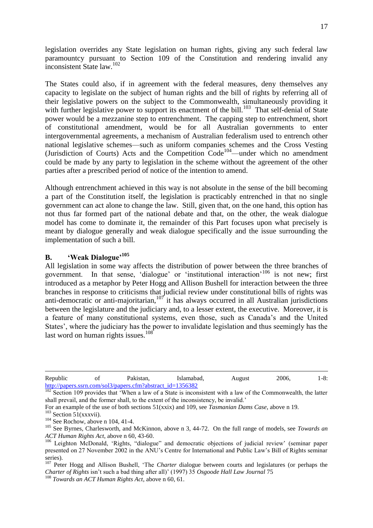legislation overrides any State legislation on human rights, giving any such federal law paramountcy pursuant to Section 109 of the Constitution and rendering invalid any inconsistent State law.<sup>102</sup>

The States could also, if in agreement with the federal measures, deny themselves any capacity to legislate on the subject of human rights and the bill of rights by referring all of their legislative powers on the subject to the Commonwealth, simultaneously providing it with further legislative power to support its enactment of the bill.<sup>103</sup> That self-denial of State power would be a mezzanine step to entrenchment. The capping step to entrenchment, short of constitutional amendment, would be for all Australian governments to enter intergovernmental agreements, a mechanism of Australian federalism used to entrench other national legislative schemes—such as uniform companies schemes and the Cross Vesting (Jurisdiction of Courts) Acts and the Competition  $Code^{104}$ —under which no amendment could be made by any party to legislation in the scheme without the agreement of the other parties after a prescribed period of notice of the intention to amend.

Although entrenchment achieved in this way is not absolute in the sense of the bill becoming a part of the Constitution itself, the legislation is practicably entrenched in that no single government can act alone to change the law. Still, given that, on the one hand, this option has not thus far formed part of the national debate and that, on the other, the weak dialogue model has come to dominate it, the remainder of this Part focuses upon what precisely is meant by dialogue generally and weak dialogue specifically and the issue surrounding the implementation of such a bill.

# **B. 'Weak Dialogue'<sup>105</sup>**

All legislation in some way affects the distribution of power between the three branches of government. In that sense, 'dialogue' or 'institutional interaction'<sup>106</sup> is not new; first introduced as a metaphor by Peter Hogg and Allison Bushell for interaction between the three branches in response to criticisms that judicial review under constitutional bills of rights was anti-democratic or anti-majoritarian,  $10<sup>7</sup>$  it has always occurred in all Australian jurisdictions between the legislature and the judiciary and, to a lesser extent, the executive. Moreover, it is a feature of many constitutional systems, even those, such as Canada's and the United States', where the judiciary has the power to invalidate legislation and thus seemingly has the last word on human rights issues.<sup>108</sup>

<sup>1</sup> Republic of Pakistan, Islamabad, August 2006, 1-8: [http://papers.ssrn.com/sol3/papers.cfm?abstract\\_id=1356382](http://papers.ssrn.com/sol3/papers.cfm?abstract_id=1356382)

 $102$  Section 109 provides that 'When a law of a State is inconsistent with a law of the Commonwealth, the latter shall prevail, and the former shall, to the extent of the inconsistency, be invalid.'

For an example of the use of both sections 51(xxix) and 109, see *Tasmanian Dams Case*, above n 19.

 $103$  Section 51(xxxvii).

 $104$  See Rochow, above n 104, 41-4.

<sup>105</sup> See Byrnes, Charlesworth, and McKinnon, above n 3, 44-72. On the full range of models, see *Towards an ACT Human Rights Act*, above n 60, 43-60.

<sup>&</sup>lt;sup>106</sup> Leighton McDonald, 'Rights, "dialogue" and democratic objections of judicial review' (seminar paper presented on 27 November 2002 in the ANU's Centre for International and Public Law's Bill of Rights seminar series).

<sup>&</sup>lt;sup>107</sup> Peter Hogg and Allison Bushell, 'The *Charter* dialogue between courts and legislatures (or perhaps the *Charter of Rights* isn't such a bad thing after all)' (1997) 35 *Osgoode Hall Law Journal* 75

<sup>108</sup> *Towards an ACT Human Rights Act*, above n 60, 61.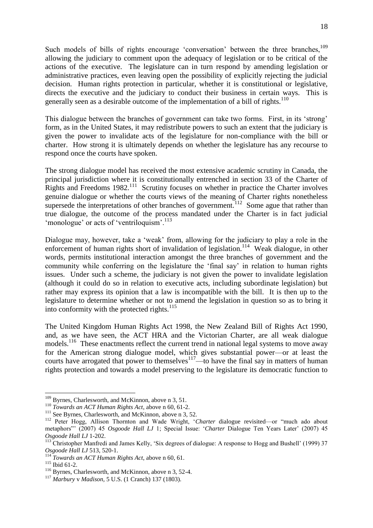Such models of bills of rights encourage 'conversation' between the three branches,<sup>109</sup> allowing the judiciary to comment upon the adequacy of legislation or to be critical of the actions of the executive. The legislature can in turn respond by amending legislation or administrative practices, even leaving open the possibility of explicitly rejecting the judicial decision. Human rights protection in particular, whether it is constitutional or legislative, directs the executive and the judiciary to conduct their business in certain ways. This is generally seen as a desirable outcome of the implementation of a bill of rights.<sup>110</sup>

This dialogue between the branches of government can take two forms. First, in its 'strong' form, as in the United States, it may redistribute powers to such an extent that the judiciary is given the power to invalidate acts of the legislature for non-compliance with the bill or charter. How strong it is ultimately depends on whether the legislature has any recourse to respond once the courts have spoken.

The strong dialogue model has received the most extensive academic scrutiny in Canada, the principal jurisdiction where it is constitutionally entrenched in section 33 of the Charter of Rights and Freedoms 1982.<sup>111</sup> Scrutiny focuses on whether in practice the Charter involves genuine dialogue or whether the courts views of the meaning of Charter rights nonetheless supersede the interpretations of other branches of government.<sup>112</sup> Some ague that rather than true dialogue, the outcome of the process mandated under the Charter is in fact judicial 'monologue' or acts of 'ventriloquism'.<sup>113</sup>

Dialogue may, however, take a 'weak' from, allowing for the judiciary to play a role in the enforcement of human rights short of invalidation of legislation.<sup>114</sup> Weak dialogue, in other words, permits institutional interaction amongst the three branches of government and the community while conferring on the legislature the 'final say' in relation to human rights issues. Under such a scheme, the judiciary is not given the power to invalidate legislation (although it could do so in relation to executive acts, including subordinate legislation) but rather may express its opinion that a law is incompatible with the bill. It is then up to the legislature to determine whether or not to amend the legislation in question so as to bring it into conformity with the protected rights. $115$ 

The United Kingdom Human Rights Act 1998, the New Zealand Bill of Rights Act 1990, and, as we have seen, the ACT HRA and the Victorian Charter, are all weak dialogue models.<sup>116</sup> These enactments reflect the current trend in national legal systems to move away for the American strong dialogue model, which gives substantial power—or at least the courts have arrogated that power to themselves $117$ —to have the final say in matters of human rights protection and towards a model preserving to the legislature its democratic function to

<sup>&</sup>lt;sup>109</sup> Byrnes, Charlesworth, and McKinnon, above n 3, 51.

<sup>110</sup> *Towards an ACT Human Rights Act*, above n 60, 61-2.

<sup>&</sup>lt;sup>111</sup> See Byrnes, Charlesworth, and McKinnon, above n 3, 52.

<sup>&</sup>lt;sup>112</sup> Peter Hogg, Allison Thornton and Wade Wright, 'Charter dialogue revisited—or "much ado about metaphors"' (2007) 45 *Osgoode Hall LJ* 1; Special Issue: 'Charter Dialogue Ten Years Later' (2007) 45 *Osgoode Hall LJ* 1-202.

<sup>&</sup>lt;sup>113</sup> Christopher Manfredi and James Kelly, 'Six degrees of dialogue: A response to Hogg and Bushell' (1999) 37 *Osgoode Hall LJ* 513, 520-1.

<sup>114</sup> *Towards an ACT Human Rights Act*, above n 60, 61.

 $115$  Ibid 61-2.

<sup>&</sup>lt;sup>116</sup> Byrnes. Charlesworth, and McKinnon, above n 3, 52-4.

<sup>117</sup> *Marbury* v *Madison*, 5 U.S. (1 Cranch) 137 (1803).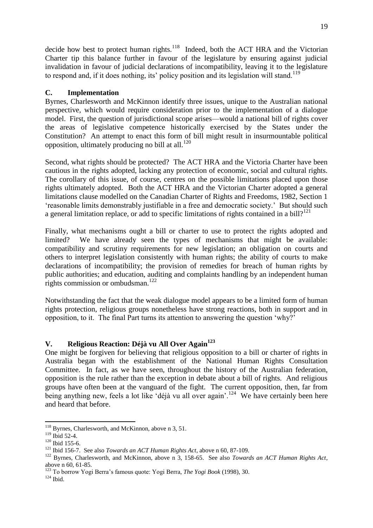decide how best to protect human rights. $118$  Indeed, both the ACT HRA and the Victorian Charter tip this balance further in favour of the legislature by ensuring against judicial invalidation in favour of judicial declarations of incompatibility, leaving it to the legislature to respond and, if it does nothing, its' policy position and its legislation will stand.<sup>119</sup>

## **C. Implementation**

Byrnes, Charlesworth and McKinnon identify three issues, unique to the Australian national perspective, which would require consideration prior to the implementation of a dialogue model. First, the question of jurisdictional scope arises—would a national bill of rights cover the areas of legislative competence historically exercised by the States under the Constitution? An attempt to enact this form of bill might result in insurmountable political opposition, ultimately producing no bill at all. $^{120}$ 

Second, what rights should be protected? The ACT HRA and the Victoria Charter have been cautious in the rights adopted, lacking any protection of economic, social and cultural rights. The corollary of this issue, of course, centres on the possible limitations placed upon those rights ultimately adopted. Both the ACT HRA and the Victorian Charter adopted a general limitations clause modelled on the Canadian Charter of Rights and Freedoms, 1982, Section 1 ‗reasonable limits demonstrably justifiable in a free and democratic society.' But should such a general limitation replace, or add to specific limitations of rights contained in a bill?<sup>121</sup>

Finally, what mechanisms ought a bill or charter to use to protect the rights adopted and limited? We have already seen the types of mechanisms that might be available: compatibility and scrutiny requirements for new legislation; an obligation on courts and others to interpret legislation consistently with human rights; the ability of courts to make declarations of incompatibility; the provision of remedies for breach of human rights by public authorities; and education, auditing and complaints handling by an independent human rights commission or ombudsman.<sup>122</sup>

Notwithstanding the fact that the weak dialogue model appears to be a limited form of human rights protection, religious groups nonetheless have strong reactions, both in support and in opposition, to it. The final Part turns its attention to answering the question 'why?'

# **V. Religious Reaction: Déjà vu All Over Again<sup>123</sup>**

One might be forgiven for believing that religious opposition to a bill or charter of rights in Australia began with the establishment of the National Human Rights Consultation Committee. In fact, as we have seen, throughout the history of the Australian federation, opposition is the rule rather than the exception in debate about a bill of rights. And religious groups have often been at the vanguard of the fight. The current opposition, then, far from being anything new, feels a lot like 'déjà vu all over again'.<sup>124</sup> We have certainly been here and heard that before.

**<sup>.</sup>** <sup>118</sup> Byrnes, Charlesworth, and McKinnon, above n 3, 51.

 $119$  Ibid 52-4.

<sup>&</sup>lt;sup>120</sup> Ibid 155-6.

<sup>121</sup> Ibid 156-7. See also *Towards an ACT Human Rights Act*, above n 60, 87-109.

<sup>122</sup> Byrnes, Charlesworth, and McKinnon, above n 3, 158-65. See also *Towards an ACT Human Rights Act*, above n 60, 61-85.

<sup>123</sup> To borrow Yogi Berra's famous quote: Yogi Berra, *The Yogi Book* (1998), 30.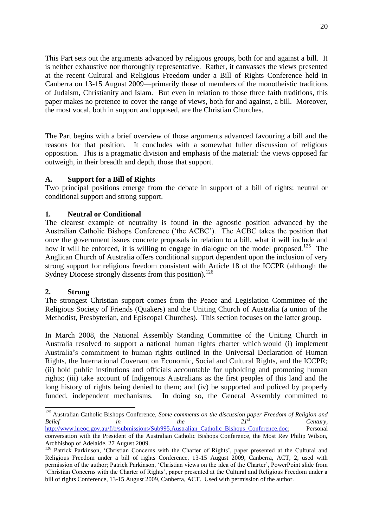This Part sets out the arguments advanced by religious groups, both for and against a bill. It is neither exhaustive nor thoroughly representative. Rather, it canvasses the views presented at the recent Cultural and Religious Freedom under a Bill of Rights Conference held in Canberra on 13-15 August 2009—primarily those of members of the monotheistic traditions of Judaism, Christianity and Islam. But even in relation to those three faith traditions, this paper makes no pretence to cover the range of views, both for and against, a bill. Moreover, the most vocal, both in support and opposed, are the Christian Churches.

The Part begins with a brief overview of those arguments advanced favouring a bill and the reasons for that position. It concludes with a somewhat fuller discussion of religious opposition. This is a pragmatic division and emphasis of the material: the views opposed far outweigh, in their breadth and depth, those that support.

## **A. Support for a Bill of Rights**

Two principal positions emerge from the debate in support of a bill of rights: neutral or conditional support and strong support.

## **1. Neutral or Conditional**

The clearest example of neutrality is found in the agnostic position advanced by the Australian Catholic Bishops Conference ('the ACBC'). The ACBC takes the position that once the government issues concrete proposals in relation to a bill, what it will include and how it will be enforced, it is willing to engage in dialogue on the model proposed.<sup>125</sup> The Anglican Church of Australia offers conditional support dependent upon the inclusion of very strong support for religious freedom consistent with Article 18 of the ICCPR (although the Sydney Diocese strongly dissents from this position).<sup>126</sup>

## **2. Strong**

**.** 

The strongest Christian support comes from the Peace and Legislation Committee of the Religious Society of Friends (Quakers) and the Uniting Church of Australia (a union of the Methodist, Presbyterian, and Episcopal Churches). This section focuses on the latter group.

In March 2008, the National Assembly Standing Committee of the Uniting Church in Australia resolved to support a national human rights charter which would (i) implement Australia's commitment to human rights outlined in the Universal Declaration of Human Rights, the International Covenant on Economic, Social and Cultural Rights, and the ICCPR; (ii) hold public institutions and officials accountable for upholding and promoting human rights; (iii) take account of Indigenous Australians as the first peoples of this land and the long history of rights being denied to them; and (iv) be supported and policed by properly funded, independent mechanisms. In doing so, the General Assembly committed to

<sup>125</sup> Australian Catholic Bishops Conference, *Some comments on the discussion paper Freedom of Religion and Belief in the*  $21^{3t}$  *Century, Century,* [http://www.hreoc.gov.au/frb/submissions/Sub995.Australian\\_Catholic\\_Bishops\\_Conference.doc;](http://www.hreoc.gov.au/frb/submissions/Sub995.Australian_Catholic_Bishops_Conference.doc) Personal

conversation with the President of the Australian Catholic Bishops Conference, the Most Rev Philip Wilson, Archbishop of Adelaide, 27 August 2009.

<sup>&</sup>lt;sup>126</sup> Patrick Parkinson, 'Christian Concerns with the Charter of Rights', paper presented at the Cultural and Religious Freedom under a bill of rights Conference, 13-15 August 2009, Canberra, ACT, 2, used with permission of the author; Patrick Parkinson, 'Christian views on the idea of the Charter', PowerPoint slide from ‗Christian Concerns with the Charter of Rights', paper presented at the Cultural and Religious Freedom under a bill of rights Conference, 13-15 August 2009, Canberra, ACT. Used with permission of the author.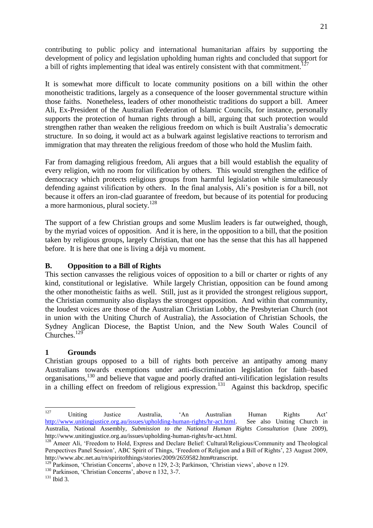contributing to public policy and international humanitarian affairs by supporting the development of policy and legislation upholding human rights and concluded that support for a bill of rights implementing that ideal was entirely consistent with that commitment.<sup>127</sup>

It is somewhat more difficult to locate community positions on a bill within the other monotheistic traditions, largely as a consequence of the looser governmental structure within those faiths. Nonetheless, leaders of other monotheistic traditions do support a bill. Ameer Ali, Ex-President of the Australian Federation of Islamic Councils, for instance, personally supports the protection of human rights through a bill, arguing that such protection would strengthen rather than weaken the religious freedom on which is built Australia's democratic structure. In so doing, it would act as a bulwark against legislative reactions to terrorism and immigration that may threaten the religious freedom of those who hold the Muslim faith.

Far from damaging religious freedom, Ali argues that a bill would establish the equality of every religion, with no room for vilification by others. This would strengthen the edifice of democracy which protects religious groups from harmful legislation while simultaneously defending against vilification by others. In the final analysis, Ali's position is for a bill, not because it offers an iron-clad guarantee of freedom, but because of its potential for producing a more harmonious, plural society.<sup>128</sup>

The support of a few Christian groups and some Muslim leaders is far outweighed, though, by the myriad voices of opposition. And it is here, in the opposition to a bill, that the position taken by religious groups, largely Christian, that one has the sense that this has all happened before. It is here that one is living a déjà vu moment.

## **B. Opposition to a Bill of Rights**

This section canvasses the religious voices of opposition to a bill or charter or rights of any kind, constitutional or legislative. While largely Christian, opposition can be found among the other monotheistic faiths as well. Still, just as it provided the strongest religious support, the Christian community also displays the strongest opposition. And within that community, the loudest voices are those of the Australian Christian Lobby, the Presbyterian Church (not in union with the Uniting Church of Australia), the Association of Christian Schools, the Sydney Anglican Diocese, the Baptist Union, and the New South Wales Council of Churches.<sup>129</sup>

# **1 Grounds**

Christian groups opposed to a bill of rights both perceive an antipathy among many Australians towards exemptions under anti-discrimination legislation for faith–based organisations,<sup>130</sup> and believe that vague and poorly drafted anti-vilification legislation results in a chilling effect on freedom of religious expression.<sup>131</sup> Against this backdrop, specific

<sup>130</sup> Parkinson, 'Christian Concerns', above n 132, 3-7.

<sup>127</sup>  $127$  Uniting Justice Australia,  $4$ n Australian Human Rights Act' [http://www.unitingjustice.org.au/issues/upholding-human-rights/hr-act.html.](http://www.unitingjustice.org.au/issues/upholding-human-rights/hr-act.html) See also Uniting Church in Australia, National Assembly, *Submission to the National Human Rights Consultation* (June 2009), http://www.unitingjustice.org.au/issues/upholding-human-rights/hr-act.html.

<sup>&</sup>lt;sup>128</sup> Ameer Ali, 'Freedom to Hold, Express and Declare Belief: Cultural/Religious/Community and Theological Perspectives Panel Session', ABC Spirit of Things, ‗Freedom of Religion and a Bill of Rights', 23 August 2009, http://www.abc.net.au/rn/spiritofthings/stories/2009/2659582.htm#transcript.

Parkinson, 'Christian Concerns', above n 129, 2-3; Parkinson, 'Christian views', above n 129.

 $131$  Ibid 3.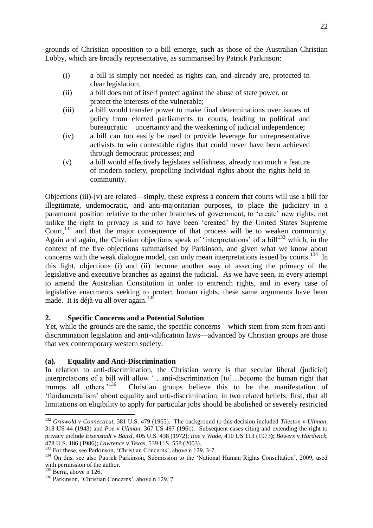grounds of Christian opposition to a bill emerge, such as those of the Australian Christian Lobby, which are broadly representative, as summarised by Patrick Parkinson:

- (i) a bill is simply not needed as rights can, and already are, protected in clear legislation;
- (ii) a bill does not of itself protect against the abuse of state power, or protect the interests of the vulnerable;
- (iii) a bill would transfer power to make final determinations over issues of policy from elected parliaments to courts, leading to political and bureaucratic uncertainty and the weakening of judicial independence;
- (iv) a bill can too easily be used to provide leverage for unrepresentative activists to win contestable rights that could never have been achieved through democratic processes; and
- (v) a bill would effectively legislates selfishness, already too much a feature of modern society, propelling individual rights about the rights held in community.

Objections (iii)-(v) are related—simply, these express a concern that courts will use a bill for illegitimate, undemocratic, and anti-majoritarian purposes, to place the judiciary in a paramount position relative to the other branches of government, to 'create' new rights, not unlike the right to privacy is said to have been 'created' by the United States Supreme Court,<sup>132</sup> and that the major consequence of that process will be to weaken community. Again and again, the Christian objections speak of  $\cdot$ interpretations' of a bill<sup>133</sup> which, in the context of the five objections summarised by Parkinson, and given what we know about concerns with the weak dialogue model, can only mean interpretations issued by courts.<sup>134</sup> In this light, objections (i) and (ii) become another way of asserting the primacy of the legislative and executive branches as against the judicial. As we have seen, in every attempt to amend the Australian Constitution in order to entrench rights, and in every case of legislative enactments seeking to protect human rights, these same arguments have been made. It is déjà vu all over again.<sup>135</sup>

# **2. Specific Concerns and a Potential Solution**

Yet, while the grounds are the same, the specific concerns—which stem from stem from antidiscrimination legislation and anti-vilification laws—advanced by Christian groups are those that vex contemporary western society.

# **(a). Equality and Anti-Discrimination**

In relation to anti-discrimination, the Christian worry is that secular liberal (judicial) interpretations of a bill will allow ‗…anti-discrimination [to]…become the human right that trumps all others.<sup>'136</sup> Christian groups believe this to be the manifestation of ‗fundamentalism' about equality and anti-discrimination, in two related beliefs: first, that all limitations on eligibility to apply for particular jobs should be abolished or severely restricted

 $\overline{\phantom{a}}$ 

<sup>132</sup> *Griswold* v *Connecticut*, 381 U.S. 479 (1965). The background to this decision included *Tileston* v *Ullman*, 318 US 44 (1943) and *Poe* v *Ullman*, 367 US 497 (1961). Subsequent cases citing and extending the right to privacy include *Eisenstadt* v *Baird*, 405 U.S. 438 (1972); *Roe* v *Wade*, 410 US 113 (1973**)**; *Bowers* v *Hardwick*, 478 U.S. 186 (1986); *Lawrence* v *Texas*, 539 U.S. 558 (2003).

 $133$  For these, see Parkinson, 'Christian Concerns', above n 129, 3-7.

<sup>&</sup>lt;sup>134</sup> On this, see also Patrick Parkinson, Submission to the 'National Human Rights Consultation', 2009, used with permission of the author.

 $135$  Berra, above n 126.

<sup>&</sup>lt;sup>136</sup> Parkinson, 'Christian Concerns', above n 129, 7.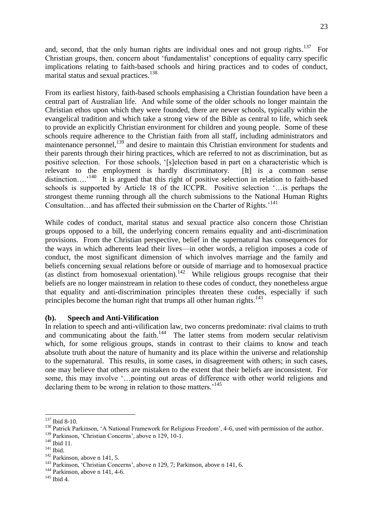and, second, that the only human rights are individual ones and not group rights.<sup>137</sup> For Christian groups, then, concern about 'fundamentalist' conceptions of equality carry specific implications relating to faith-based schools and hiring practices and to codes of conduct, marital status and sexual practices.<sup>138</sup>

From its earliest history, faith-based schools emphasising a Christian foundation have been a central part of Australian life. And while some of the older schools no longer maintain the Christian ethos upon which they were founded, there are newer schools, typically within the evangelical tradition and which take a strong view of the Bible as central to life, which seek to provide an explicitly Christian environment for children and young people. Some of these schools require adherence to the Christian faith from all staff, including administrators and maintenance personnel,<sup>139</sup> and desire to maintain this Christian environment for students and their parents through their hiring practices, which are referred to not as discrimination, but as positive selection. For those schools, '[s]election based in part on a characteristic which is relevant to the employment is hardly discriminatory. [It] is a common sense distinction....<sup>'140</sup> It is argued that this right of positive selection in relation to faith-based schools is supported by Article 18 of the ICCPR. Positive selection  $\ldots$  is perhaps the strongest theme running through all the church submissions to the National Human Rights Consultation...and has affected their submission on the Charter of Rights.<sup>'141</sup>

While codes of conduct, marital status and sexual practice also concern those Christian groups opposed to a bill, the underlying concern remains equality and anti-discrimination provisions. From the Christian perspective, belief in the supernatural has consequences for the ways in which adherents lead their lives—in other words, a religion imposes a code of conduct, the most significant dimension of which involves marriage and the family and beliefs concerning sexual relations before or outside of marriage and to homosexual practice (as distinct from homosexual orientation). $142$  While religious groups recognise that their beliefs are no longer mainstream in relation to these codes of conduct, they nonetheless argue that equality and anti-discrimination principles threaten these codes, especially if such principles become the human right that trumps all other human rights. $143$ 

#### **(b). Speech and Anti-Vilification**

In relation to speech and anti-vilification law, two concerns predominate: rival claims to truth and communicating about the faith.<sup>144</sup> The latter stems from modern secular relativism which, for some religious groups, stands in contrast to their claims to know and teach absolute truth about the nature of humanity and its place within the universe and relationship to the supernatural. This results, in some cases, in disagreement with others; in such cases, one may believe that others are mistaken to the extent that their beliefs are inconsistent. For some, this may involve  $\dot{\cdot}$ ... pointing out areas of difference with other world religions and declaring them to be wrong in relation to those matters.<sup>145</sup>

 $\overline{\phantom{a}}$ <sup>137</sup> Ibid 8-10.

<sup>&</sup>lt;sup>138</sup> Patrick Parkinson, 'A National Framework for Religious Freedom', 4-6, used with permission of the author.

<sup>&</sup>lt;sup>139</sup> Parkinson, 'Christian Concerns', above n 129, 10-1.

<sup>&</sup>lt;sup>140</sup> Ibid 11.

<sup>&</sup>lt;sup>141</sup> Ibid.

 $142$  Parkinson, above n 141, 5.

<sup>&</sup>lt;sup>143</sup> Parkinson, 'Christian Concerns', above n 129, 7; Parkinson, above n 141, 6.

<sup>144</sup> Parkinson, above n 141, 4-6.

 $145$  Ibid 4.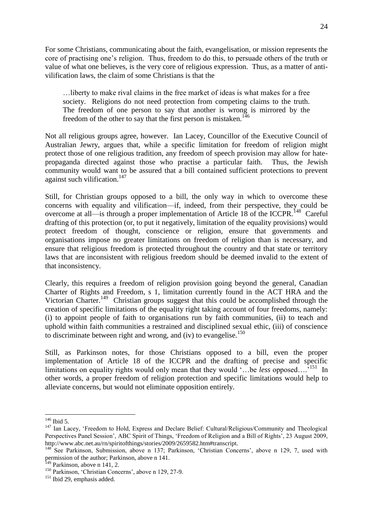For some Christians, communicating about the faith, evangelisation, or mission represents the core of practising one's religion. Thus, freedom to do this, to persuade others of the truth or value of what one believes, is the very core of religious expression. Thus, as a matter of antivilification laws, the claim of some Christians is that the

…liberty to make rival claims in the free market of ideas is what makes for a free society. Religions do not need protection from competing claims to the truth. The freedom of one person to say that another is wrong is mirrored by the freedom of the other to say that the first person is mistaken.<sup>146</sup>

Not all religious groups agree, however. Ian Lacey, Councillor of the Executive Council of Australian Jewry, argues that, while a specific limitation for freedom of religion might protect those of one religious tradition, any freedom of speech provision may allow for hatepropaganda directed against those who practise a particular faith. Thus, the Jewish community would want to be assured that a bill contained sufficient protections to prevent against such vilification.<sup>147</sup>

Still, for Christian groups opposed to a bill, the only way in which to overcome these concerns with equality and vilification—if, indeed, from their perspective, they could be overcome at all—is through a proper implementation of Article 18 of the ICCPR.<sup>148</sup> Careful drafting of this protection (or, to put it negatively, limitation of the equality provisions) would protect freedom of thought, conscience or religion, ensure that governments and organisations impose no greater limitations on freedom of religion than is necessary, and ensure that religious freedom is protected throughout the country and that state or territory laws that are inconsistent with religious freedom should be deemed invalid to the extent of that inconsistency.

Clearly, this requires a freedom of religion provision going beyond the general, Canadian Charter of Rights and Freedom, s 1, limitation currently found in the ACT HRA and the Victorian Charter.<sup>149</sup> Christian groups suggest that this could be accomplished through the creation of specific limitations of the equality right taking account of four freedoms, namely: (i) to appoint people of faith to organisations run by faith communities, (ii) to teach and uphold within faith communities a restrained and disciplined sexual ethic, (iii) of conscience to discriminate between right and wrong, and (iv) to evangelise.<sup>150</sup>

Still, as Parkinson notes, for those Christians opposed to a bill, even the proper implementation of Article 18 of the ICCPR and the drafting of precise and specific limitations on equality rights would only mean that they would '...be *less* opposed....<sup>7151</sup> In other words, a proper freedom of religion protection and specific limitations would help to alleviate concerns, but would not eliminate opposition entirely.

 $\overline{\phantom{a}}$ <sup>146</sup> Ibid 5.

<sup>&</sup>lt;sup>147</sup> Ian Lacey, 'Freedom to Hold, Express and Declare Belief: Cultural/Religious/Community and Theological Perspectives Panel Session', ABC Spirit of Things, ‗Freedom of Religion and a Bill of Rights', 23 August 2009, http://www.abc.net.au/rn/spiritofthings/stories/2009/2659582.htm#transcript.

<sup>&</sup>lt;sup>148</sup> See Parkinson, Submission, above n 137; Parkinson, 'Christian Concerns', above n 129, 7, used with permission of the author; Parkinson, above n 141.

 $149$  Parkinson, above n 141, 2.

<sup>&</sup>lt;sup>150</sup> Parkinson, 'Christian Concerns', above n 129, 27-9.

<sup>&</sup>lt;sup>151</sup> Ibid 29, emphasis added.